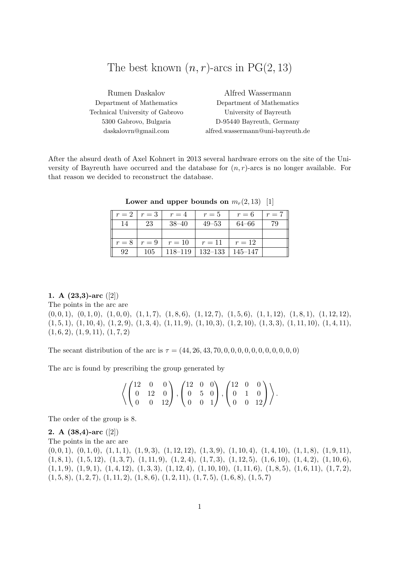# The best known  $(n, r)$ -arcs in PG $(2, 13)$

| Rumen Daskalov                  | Alfred Wassermann                 |
|---------------------------------|-----------------------------------|
| Department of Mathematics       | Department of Mathematics         |
| Technical University of Gabrovo | University of Bayreuth            |
| 5300 Gabrovo, Bulgaria          | D-95440 Bayreuth, Germany         |
| daskalovrn@gmail.com            | alfred.wassermann@uni-bayreuth.de |

After the absurd death of Axel Kohnert in 2013 several hardware errors on the site of the University of Bayreuth have occurred and the database for  $(n, r)$ -arcs is no longer available. For that reason we decided to reconstruct the database.

|    |         | $r = 2 + r = 3 + r = 4$  | $r=5$                             | $r=6$  | $r=7$ |
|----|---------|--------------------------|-----------------------------------|--------|-------|
| 14 | 23      | $38 - 40$                | $49 - 53$                         | 64–66  | 79    |
|    |         |                          |                                   |        |       |
|    |         | $r = 8   r = 9   r = 10$ | $r=11$                            | $r=12$ |       |
| 92 | $105\,$ |                          | $118-119$   $132-133$   $145-147$ |        |       |

Lower and upper bounds on  $m_r(2, 13)$  [1]

## 1. A  $(23,3)$ -arc  $([2])$

The points in the arc are

 $(0, 0, 1), (0, 1, 0), (1, 0, 0), (1, 1, 7), (1, 8, 6), (1, 12, 7), (1, 5, 6), (1, 1, 12), (1, 8, 1), (1, 12, 12),$  $(1, 5, 1), (1, 10, 4), (1, 2, 9), (1, 3, 4), (1, 11, 9), (1, 10, 3), (1, 2, 10), (1, 3, 3), (1, 11, 10), (1, 4, 11),$  $(1, 6, 2), (1, 9, 11), (1, 7, 2)$ 

The secant distribution of the arc is  $\tau = (44, 26, 43, 70, 0, 0, 0, 0, 0, 0, 0, 0, 0, 0)$ 

The arc is found by prescribing the group generated by

$$
\left\langle \left(\begin{matrix} 12 & 0 & 0 \\ 0 & 12 & 0 \\ 0 & 0 & 12 \end{matrix}\right), \left(\begin{matrix} 12 & 0 & 0 \\ 0 & 5 & 0 \\ 0 & 0 & 1 \end{matrix}\right), \left(\begin{matrix} 12 & 0 & 0 \\ 0 & 1 & 0 \\ 0 & 0 & 12 \end{matrix}\right) \right\rangle.
$$

The order of the group is 8.

2. A  $(38,4)$ -arc  $([2])$ The points in the arc are  $(0, 0, 1), (0, 1, 0), (1, 1, 1), (1, 9, 3), (1, 12, 12), (1, 3, 9), (1, 10, 4), (1, 4, 10), (1, 1, 8), (1, 9, 11),$  $(1, 8, 1), (1, 5, 12), (1, 3, 7), (1, 11, 9), (1, 2, 4), (1, 7, 3), (1, 12, 5), (1, 6, 10), (1, 4, 2), (1, 10, 6),$  $(1, 1, 9), (1, 9, 1), (1, 4, 12), (1, 3, 3), (1, 12, 4), (1, 10, 10), (1, 11, 6), (1, 8, 5), (1, 6, 11), (1, 7, 2),$  $(1, 5, 8), (1, 2, 7), (1, 11, 2), (1, 8, 6), (1, 2, 11), (1, 7, 5), (1, 6, 8), (1, 5, 7)$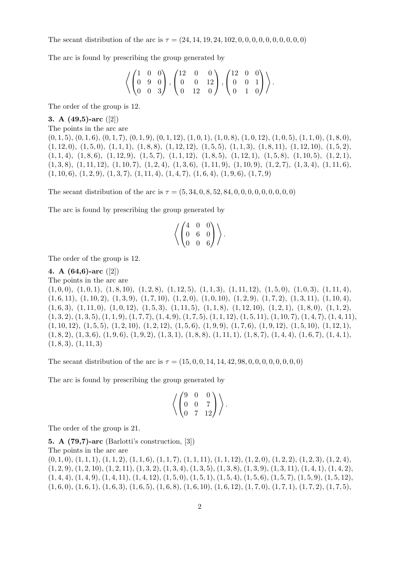The secant distribution of the arc is  $\tau = (24, 14, 19, 24, 102, 0, 0, 0, 0, 0, 0, 0, 0, 0)$ 

The arc is found by prescribing the group generated by

$$
\left\langle \begin{pmatrix} 1 & 0 & 0 \\ 0 & 9 & 0 \\ 0 & 0 & 3 \end{pmatrix}, \begin{pmatrix} 12 & 0 & 0 \\ 0 & 0 & 12 \\ 0 & 12 & 0 \end{pmatrix}, \begin{pmatrix} 12 & 0 & 0 \\ 0 & 0 & 1 \\ 0 & 1 & 0 \end{pmatrix} \right\rangle.
$$

The order of the group is 12.

3. A (49,5)-arc ([2]) The points in the arc are  $(0, 1, 5), (0, 1, 6), (0, 1, 7), (0, 1, 9), (0, 1, 12), (1, 0, 1), (1, 0, 8), (1, 0, 1, 0, 1), (1, 0, 5), (1, 1, 0), (1, 8, 0),$  $(1, 12, 0), (1, 5, 0), (1, 1, 1), (1, 8, 8), (1, 12, 12), (1, 5, 5), (1, 1, 3), (1, 8, 11), (1, 12, 10), (1, 5, 2),$  $(1, 1, 4), (1, 8, 6), (1, 12, 9), (1, 5, 7), (1, 1, 12), (1, 8, 5), (1, 12, 1), (1, 5, 8), (1, 10, 5), (1, 2, 1),$  $(1, 3, 8), (1, 11, 12), (1, 10, 7), (1, 2, 4), (1, 3, 6), (1, 11, 9), (1, 10, 9), (1, 2, 7), (1, 3, 4), (1, 11, 6),$  $(1, 10, 6), (1, 2, 9), (1, 3, 7), (1, 11, 4), (1, 4, 7), (1, 6, 4), (1, 9, 6), (1, 7, 9)$ 

The secant distribution of the arc is  $\tau = (5, 34, 0, 8, 52, 84, 0, 0, 0, 0, 0, 0, 0, 0)$ 

The arc is found by prescribing the group generated by

$$
\left\langle \begin{pmatrix} 4 & 0 & 0 \\ 0 & 6 & 0 \\ 0 & 0 & 6 \end{pmatrix} \right\rangle.
$$

The order of the group is 12.

#### 4. A (64,6)-arc ([2])

The points in the arc are

 $(1, 0, 0), (1, 0, 1), (1, 8, 10), (1, 2, 8), (1, 12, 5), (1, 1, 3), (1, 11, 12), (1, 5, 0), (1, 0, 3), (1, 11, 4),$  $(1, 6, 11), (1, 10, 2), (1, 3, 9), (1, 7, 10), (1, 2, 0), (1, 0, 10), (1, 2, 9), (1, 7, 2), (1, 3, 11), (1, 10, 4),$  $(1, 6, 3), (1, 11, 0), (1, 0, 12), (1, 5, 3), (1, 11, 5), (1, 1, 8), (1, 12, 10), (1, 2, 1), (1, 8, 0), (1, 1, 2),$  $(1, 3, 2), (1, 3, 5), (1, 1, 9), (1, 7, 7), (1, 4, 9), (1, 7, 5), (1, 1, 12), (1, 5, 11), (1, 10, 7), (1, 4, 7), (1, 4, 11),$  $(1, 10, 12), (1, 5, 5), (1, 2, 10), (1, 2, 12), (1, 5, 6), (1, 9, 9), (1, 7, 6), (1, 9, 12), (1, 5, 10), (1, 12, 1),$  $(1, 8, 2), (1, 3, 6), (1, 9, 6), (1, 9, 2), (1, 3, 1), (1, 8, 8), (1, 11, 1), (1, 8, 7), (1, 4, 4), (1, 6, 7), (1, 4, 1),$  $(1, 8, 3), (1, 11, 3)$ 

The secant distribution of the arc is  $\tau = (15, 0, 0, 14, 14, 42, 98, 0, 0, 0, 0, 0, 0, 0)$ 

The arc is found by prescribing the group generated by

$$
\left\langle \begin{pmatrix} 9 & 0 & 0 \\ 0 & 0 & 7 \\ 0 & 7 & 12 \end{pmatrix} \right\rangle.
$$

The order of the group is 21.

5. A (79,7)-arc (Barlotti's construction, [3])

The points in the arc are

 $(0, 1, 0), (1, 1, 1), (1, 1, 2), (1, 1, 6), (1, 1, 7), (1, 1, 11), (1, 1, 12), (1, 2, 0), (1, 2, 2), (1, 2, 3), (1, 2, 4),$  $(1, 2, 9), (1, 2, 10), (1, 2, 11), (1, 3, 2), (1, 3, 4), (1, 3, 5), (1, 3, 8), (1, 3, 9), (1, 3, 11), (1, 4, 1), (1, 4, 2),$  $(1, 4, 4), (1, 4, 9), (1, 4, 11), (1, 4, 12), (1, 5, 0), (1, 5, 1), (1, 5, 4), (1, 5, 6), (1, 5, 7), (1, 5, 9), (1, 5, 12),$  $(1, 6, 0), (1, 6, 1), (1, 6, 3), (1, 6, 5), (1, 6, 8), (1, 6, 10), (1, 6, 12), (1, 7, 0), (1, 7, 1), (1, 7, 2), (1, 7, 5),$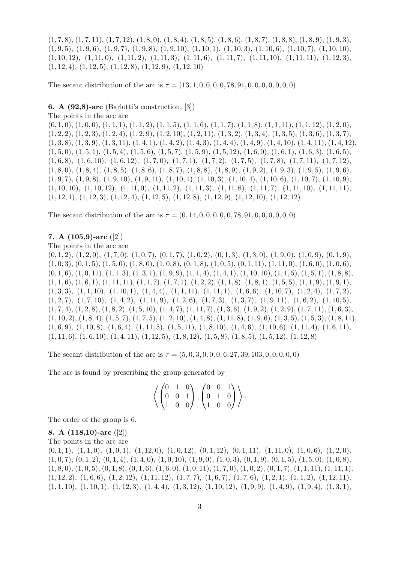$(1, 7, 8), (1, 7, 11), (1, 7, 12), (1, 8, 0), (1, 8, 4), (1, 8, 5), (1, 8, 6), (1, 8, 7), (1, 8, 8), (1, 8, 9), (1, 9, 3),$  $(1, 9, 5), (1, 9, 6), (1, 9, 7), (1, 9, 8), (1, 9, 10), (1, 10, 1), (1, 10, 3), (1, 10, 6), (1, 10, 7), (1, 10, 10),$  $(1, 10, 12), (1, 11, 0), (1, 11, 2), (1, 11, 3), (1, 11, 6), (1, 11, 7), (1, 11, 10), (1, 11, 11), (1, 12, 3),$  $(1, 12, 4), (1, 12, 5), (1, 12, 8), (1, 12, 9), (1, 12, 10)$ 

The secant distribution of the arc is  $\tau = (13, 1, 0, 0, 0, 0, 78, 91, 0, 0, 0, 0, 0, 0, 0)$ 

6. A (92,8)-arc (Barlotti's construction, [3])

The points in the arc are

 $(0, 1, 0), (1, 0, 0), (1, 1, 1), (1, 1, 2), (1, 1, 5), (1, 1, 6), (1, 1, 7), (1, 1, 8), (1, 1, 11), (1, 1, 12), (1, 2, 0),$  $(1, 2, 2), (1, 2, 3), (1, 2, 4), (1, 2, 9), (1, 2, 10), (1, 2, 11), (1, 3, 2), (1, 3, 4), (1, 3, 5), (1, 3, 6), (1, 3, 7),$  $(1, 3, 8), (1, 3, 9), (1, 3, 11), (1, 4, 1), (1, 4, 2), (1, 4, 3), (1, 4, 4), (1, 4, 9), (1, 4, 10), (1, 4, 11), (1, 4, 12),$  $(1, 5, 0), (1, 5, 1), (1, 5, 4), (1, 5, 6), (1, 5, 7), (1, 5, 9), (1, 5, 12), (1, 6, 0), (1, 6, 1), (1, 6, 3), (1, 6, 5),$  $(1, 6, 8), (1, 6, 10), (1, 6, 12), (1, 7, 0), (1, 7, 1), (1, 7, 2), (1, 7, 5), (1, 7, 8), (1, 7, 11), (1, 7, 12),$  $(1, 8, 0), (1, 8, 4), (1, 8, 5), (1, 8, 6), (1, 8, 7), (1, 8, 8), (1, 8, 9), (1, 9, 2), (1, 9, 3), (1, 9, 5), (1, 9, 6),$  $(1, 9, 7), (1, 9, 8), (1, 9, 10), (1, 9, 11), (1, 10, 1), (1, 10, 3), (1, 10, 4), (1, 10, 6), (1, 10, 7), (1, 10, 9),$  $(1, 10, 10), (1, 10, 12), (1, 11, 0), (1, 11, 2), (1, 11, 3), (1, 11, 6), (1, 11, 7), (1, 11, 10), (1, 11, 11),$  $(1, 12, 1), (1, 12, 3), (1, 12, 4), (1, 12, 5), (1, 12, 8), (1, 12, 9), (1, 12, 10), (1, 12, 12)$ 

The secant distribution of the arc is  $\tau = (0, 14, 0, 0, 0, 0, 0, 78, 91, 0, 0, 0, 0, 0, 0)$ 

## 7. A (105,9)-arc ([2])

The points in the arc are

 $(0, 1, 2), (1, 2, 0), (1, 7, 0), (1, 0, 7), (0, 1, 7), (1, 0, 2), (0, 1, 3), (1, 3, 0), (1, 9, 0), (1, 0, 9), (0, 1, 9)$  $(1, 0, 3), (0, 1, 5), (1, 5, 0), (1, 8, 0), (1, 0, 8), (0, 1, 8), (1, 0, 5), (0, 1, 11), (1, 11, 0), (1, 6, 0), (1, 0, 6),$  $(0, 1, 6)$ ,  $(1, 0, 11)$ ,  $(1, 1, 3)$ ,  $(1, 3, 1)$ ,  $(1, 9, 9)$ ,  $(1, 1, 4)$ ,  $(1, 4, 1)$ ,  $(1, 10, 10)$ ,  $(1, 1, 5)$ ,  $(1, 5, 1)$ ,  $(1, 8, 8)$ ,  $(1, 1, 6), (1, 6, 1), (1, 11, 11), (1, 1, 7), (1, 7, 1), (1, 2, 2), (1, 1, 8), (1, 8, 1), (1, 5, 5), (1, 1, 9), (1, 9, 1),$  $(1, 3, 3), (1, 1, 10), (1, 10, 1), (1, 4, 4), (1, 1, 11), (1, 11, 1), (1, 6, 6), (1, 10, 7), (1, 2, 4), (1, 7, 2),$  $(1, 2, 7), (1, 7, 10), (1, 4, 2), (1, 11, 9), (1, 2, 6), (1, 7, 3), (1, 3, 7), (1, 9, 11), (1, 6, 2), (1, 10, 5),$  $(1, 7, 4), (1, 2, 8), (1, 8, 2), (1, 5, 10), (1, 4, 7), (1, 11, 7), (1, 3, 6), (1, 9, 2), (1, 2, 9), (1, 7, 11), (1, 6, 3),$  $(1, 10, 2), (1, 8, 4), (1, 5, 7), (1, 7, 5), (1, 2, 10), (1, 4, 8), (1, 11, 8), (1, 9, 6), (1, 3, 5), (1, 5, 3), (1, 8, 11),$  $(1, 6, 9), (1, 10, 8), (1, 6, 4), (1, 11, 5), (1, 5, 11), (1, 8, 10), (1, 4, 6), (1, 10, 6), (1, 11, 4), (1, 6, 11),$  $(1, 11, 6), (1, 6, 10), (1, 4, 11), (1, 12, 5), (1, 8, 12), (1, 5, 8), (1, 8, 5), (1, 5, 12), (1, 12, 8)$ 

The secant distribution of the arc is  $\tau = (5, 0, 3, 0, 0, 0, 6, 27, 39, 103, 0, 0, 0, 0, 0)$ 

The arc is found by prescribing the group generated by

$$
\left\langle \begin{pmatrix} 0 & 1 & 0 \\ 0 & 0 & 1 \\ 1 & 0 & 0 \end{pmatrix}, \begin{pmatrix} 0 & 0 & 1 \\ 0 & 1 & 0 \\ 1 & 0 & 0 \end{pmatrix} \right\rangle.
$$

The order of the group is 6.

8. A (118,10)-arc ([2]) The points in the arc are  $(0, 1, 1), (1, 1, 0), (1, 0, 1), (1, 12, 0), (1, 0, 12), (0, 1, 12), (0, 1, 11), (1, 11, 0), (1, 0, 6), (1, 2, 0),$  $(1, 0, 7), (0, 1, 2), (0, 1, 4), (1, 4, 0), (1, 0, 10), (1, 9, 0), (1, 0, 3), (0, 1, 9), (0, 1, 5), (1, 5, 0), (1, 0, 8),$  $(1, 8, 0), (1, 0, 5), (0, 1, 8), (0, 1, 6), (1, 6, 0), (1, 0, 11), (1, 7, 0), (1, 0, 2), (0, 1, 7), (1, 1, 11), (1, 11, 1),$  $(1, 12, 2), (1, 6, 6), (1, 2, 12), (1, 11, 12), (1, 7, 7), (1, 6, 7), (1, 7, 6), (1, 2, 1), (1, 1, 2), (1, 12, 11),$  $(1, 1, 10), (1, 10, 1), (1, 12, 3), (1, 4, 4), (1, 3, 12), (1, 10, 12), (1, 9, 9), (1, 4, 9), (1, 9, 4), (1, 3, 1),$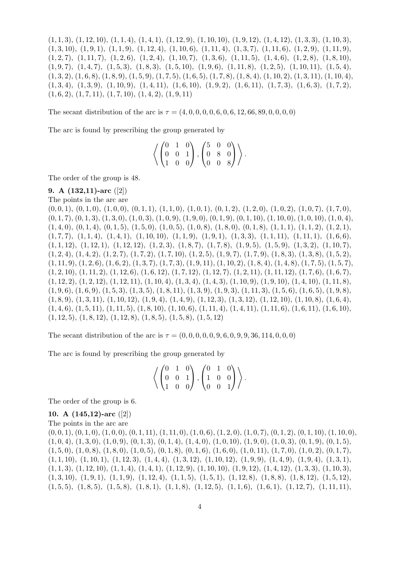$(1, 1, 3), (1, 12, 10), (1, 1, 4), (1, 4, 1), (1, 12, 9), (1, 10, 10), (1, 9, 12), (1, 4, 12), (1, 3, 3), (1, 10, 3),$  $(1, 3, 10), (1, 9, 1), (1, 1, 9), (1, 12, 4), (1, 10, 6), (1, 11, 4), (1, 3, 7), (1, 11, 6), (1, 2, 9), (1, 11, 9),$  $(1, 2, 7), (1, 11, 7), (1, 2, 6), (1, 2, 4), (1, 10, 7), (1, 3, 6), (1, 11, 5), (1, 4, 6), (1, 2, 8), (1, 8, 10),$  $(1, 9, 7), (1, 4, 7), (1, 5, 3), (1, 8, 3), (1, 5, 10), (1, 9, 6), (1, 11, 8), (1, 2, 5), (1, 10, 11), (1, 5, 4),$  $(1, 3, 2), (1, 6, 8), (1, 8, 9), (1, 5, 9), (1, 7, 5), (1, 6, 5), (1, 7, 8), (1, 8, 4), (1, 10, 2), (1, 3, 11), (1, 10, 4),$  $(1, 3, 4), (1, 3, 9), (1, 10, 9), (1, 4, 11), (1, 6, 10), (1, 9, 2), (1, 6, 11), (1, 7, 3), (1, 6, 3), (1, 7, 2),$  $(1, 6, 2), (1, 7, 11), (1, 7, 10), (1, 4, 2), (1, 9, 11)$ 

The secant distribution of the arc is  $\tau = (4, 0, 0, 0, 0, 0, 6, 0, 6, 12, 66, 89, 0, 0, 0, 0)$ 

The arc is found by prescribing the group generated by

$$
\left\langle \left(\begin{matrix} 0 & 1 & 0 \\ 0 & 0 & 1 \\ 1 & 0 & 0 \end{matrix}\right), \left(\begin{matrix} 5 & 0 & 0 \\ 0 & 8 & 0 \\ 0 & 0 & 8 \end{matrix}\right) \right\rangle.
$$

The order of the group is 48.

## 9. A (132,11)-arc ([2])

The points in the arc are

 $(0, 0, 1), (0, 1, 0), (1, 0, 0), (0, 1, 1), (1, 1, 0), (1, 0, 1), (0, 1, 2), (1, 2, 0), (1, 0, 2), (1, 0, 7), (1, 7, 0),$  $(0, 1, 7), (0, 1, 3), (1, 3, 0), (1, 0, 3), (1, 0, 9), (1, 9, 0), (0, 1, 9), (0, 1, 10), (1, 10, 0), (1, 0, 10), (1, 0, 4),$  $(1, 4, 0), (0, 1, 4), (0, 1, 5), (1, 5, 0), (1, 0, 5), (1, 0, 8), (1, 8, 0), (0, 1, 8), (1, 1, 1), (1, 1, 2), (1, 2, 1),$  $(1, 7, 7), (1, 1, 4), (1, 4, 1), (1, 10, 10), (1, 1, 9), (1, 9, 1), (1, 3, 3), (1, 1, 11), (1, 11, 1), (1, 6, 6),$  $(1, 1, 12), (1, 12, 1), (1, 12, 12), (1, 2, 3), (1, 8, 7), (1, 7, 8), (1, 9, 5), (1, 5, 9), (1, 3, 2), (1, 10, 7),$  $(1, 2, 4), (1, 4, 2), (1, 2, 7), (1, 7, 2), (1, 7, 10), (1, 2, 5), (1, 9, 7), (1, 7, 9), (1, 8, 3), (1, 3, 8), (1, 5, 2),$  $(1, 11, 9), (1, 2, 6), (1, 6, 2), (1, 3, 7), (1, 7, 3), (1, 9, 11), (1, 10, 2), (1, 8, 4), (1, 4, 8), (1, 7, 5), (1, 5, 7),$  $(1, 2, 10), (1, 11, 2), (1, 12, 6), (1, 6, 12), (1, 7, 12), (1, 12, 7), (1, 2, 11), (1, 11, 12), (1, 7, 6), (1, 6, 7),$  $(1, 12, 2), (1, 2, 12), (1, 12, 11), (1, 10, 4), (1, 3, 4), (1, 4, 3), (1, 10, 9), (1, 9, 10), (1, 4, 10), (1, 11, 8),$  $(1, 9, 6), (1, 6, 9), (1, 5, 3), (1, 3, 5), (1, 8, 11), (1, 3, 9), (1, 9, 3), (1, 11, 3), (1, 5, 6), (1, 6, 5), (1, 9, 8),$  $(1, 8, 9), (1, 3, 11), (1, 10, 12), (1, 9, 4), (1, 4, 9), (1, 12, 3), (1, 3, 12), (1, 12, 10), (1, 10, 8), (1, 6, 4),$  $(1, 4, 6)$ ,  $(1, 5, 11)$ ,  $(1, 11, 5)$ ,  $(1, 8, 10)$ ,  $(1, 10, 6)$ ,  $(1, 11, 4)$ ,  $(1, 4, 11)$ ,  $(1, 11, 6)$ ,  $(1, 6, 11)$ ,  $(1, 6, 10)$ ,  $(1, 12, 5), (1, 8, 12), (1, 12, 8), (1, 8, 5), (1, 5, 8), (1, 5, 12)$ 

The secant distribution of the arc is τ = (0, 0, 0, 0, 0, 9, 6, 0, 9, 9, 36, 114, 0, 0, 0)

The arc is found by prescribing the group generated by

|  |  |  |  | $\left\langle \left(\begin{matrix} 0 & 1 & 0 \\ 0 & 0 & 1 \\ 1 & 0 & 0 \end{matrix}\right), \left(\begin{matrix} 0 & 1 & 0 \\ 1 & 0 & 0 \\ 0 & 0 & 1 \end{matrix}\right) \right\rangle.$ |
|--|--|--|--|------------------------------------------------------------------------------------------------------------------------------------------------------------------------------------------|

The order of the group is 6.

## 10. A (145,12)-arc ([2])

The points in the arc are  $(0, 0, 1), (0, 1, 0), (1, 0, 0), (0, 1, 11), (1, 11, 0), (1, 0, 6), (1, 2, 0), (1, 0, 7), (0, 1, 2), (0, 1, 10), (1, 10, 0),$  $(1, 0, 4), (1, 3, 0), (1, 0, 9), (0, 1, 3), (0, 1, 4), (1, 4, 0), (1, 0, 10), (1, 9, 0), (1, 0, 3), (0, 1, 9), (0, 1, 5),$  $(1, 5, 0), (1, 0, 8), (1, 8, 0), (1, 0, 5), (0, 1, 8), (0, 1, 6), (1, 6, 0), (1, 0, 11), (1, 7, 0), (1, 0, 2), (0, 1, 7),$  $(1, 1, 10), (1, 10, 1), (1, 12, 3), (1, 4, 4), (1, 3, 12), (1, 10, 12), (1, 9, 9), (1, 4, 9), (1, 9, 4), (1, 3, 1),$  $(1, 1, 3), (1, 12, 10), (1, 1, 4), (1, 4, 1), (1, 12, 9), (1, 10, 10), (1, 9, 12), (1, 4, 12), (1, 3, 3), (1, 10, 3),$  $(1, 3, 10), (1, 9, 1), (1, 1, 9), (1, 12, 4), (1, 1, 5), (1, 5, 1), (1, 12, 8), (1, 8, 8), (1, 8, 12), (1, 5, 12),$  $(1, 5, 5), (1, 8, 5), (1, 5, 8), (1, 8, 1), (1, 1, 8), (1, 12, 5), (1, 1, 6), (1, 6, 1), (1, 12, 7), (1, 11, 11),$